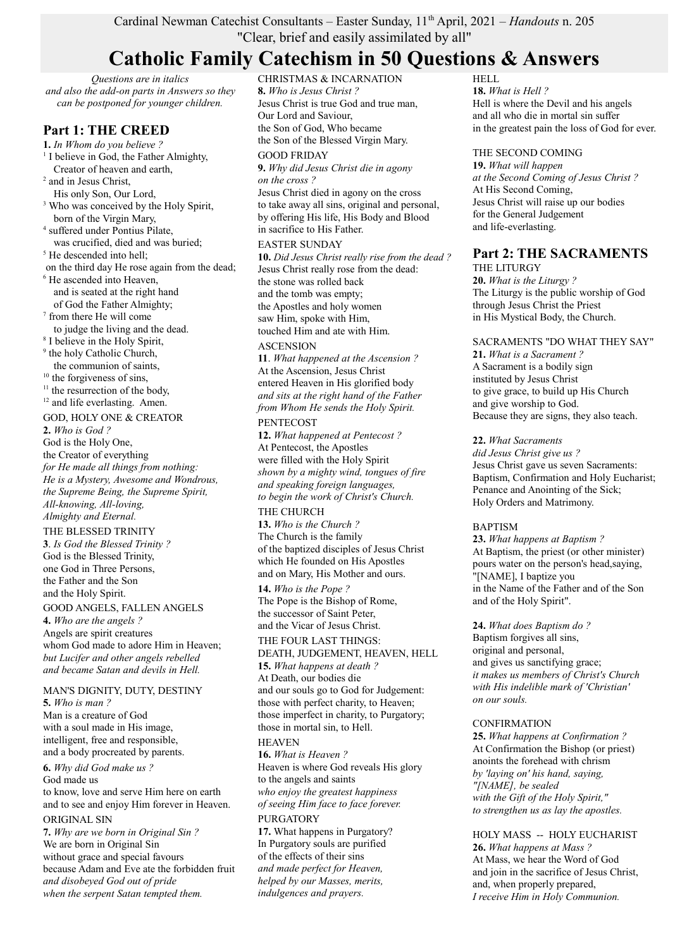## Cardinal Newman Catechist Consultants – Easter Sunday, 11th April, 2021 – *Handouts* n. 205 "Clear, brief and easily assimilated by all"

# **Catholic Family Catechism in 50 Questions & Answers**

*Questions are in italics and also the add-on parts in Answers so they can be postponed for younger children.*

## **Part 1: THE CREED**

**1.** *In Whom do you believe ?* <sup>1</sup> I believe in God, the Father Almighty, Creator of heaven and earth,

- <sup>2</sup> and in Jesus Christ,
- His only Son, Our Lord,
- <sup>3</sup> Who was conceived by the Holy Spirit, born of the Virgin Mary,
- 4 suffered under Pontius Pilate, was crucified, died and was buried;
- <sup>5</sup> He descended into hell;
- on the third day He rose again from the dead;
- 6 He ascended into Heaven, and is seated at the right hand of God the Father Almighty;
- 7 from there He will come to judge the living and the dead.
- 8 I believe in the Holy Spirit,
- <sup>9</sup> the holy Catholic Church,
- the communion of saints, <sup>10</sup> the forgiveness of sins,
- $11$  the resurrection of the body,
- <sup>12</sup> and life everlasting. Amen.

## GOD, HOLY ONE & CREATOR

**2.** *Who is God ?*

God is the Holy One, the Creator of everything *for He made all things from nothing: He is a Mystery, Awesome and Wondrous, the Supreme Being, the Supreme Spirit, All-knowing, All-loving, Almighty and Eternal.*

THE BLESSED TRINITY **3**. *Is God the Blessed Trinity ?* God is the Blessed Trinity, one God in Three Persons, the Father and the Son and the Holy Spirit.

## GOOD ANGELS, FALLEN ANGELS

**4.** *Who are the angels ?* Angels are spirit creatures whom God made to adore Him in Heaven; *but Lucifer and other angels rebelled and became Satan and devils in Hell.*

#### MAN'S DIGNITY, DUTY, DESTINY **5.** *Who is man ?*

Man is a creature of God with a soul made in His image, intelligent, free and responsible, and a body procreated by parents.

### **6.** *Why did God make us ?* God made us to know, love and serve Him here on earth and to see and enjoy Him forever in Heaven. ORIGINAL SIN

**7.** *Why are we born in Original Sin ?* We are born in Original Sin without grace and special favours because Adam and Eve ate the forbidden fruit *and disobeyed God out of pride when the serpent Satan tempted them.*

CHRISTMAS & INCARNATION **8.** *Who is Jesus Christ ?* Jesus Christ is true God and true man, Our Lord and Saviour, the Son of God, Who became the Son of the Blessed Virgin Mary.

## GOOD FRIDAY

**9.** *Why did Jesus Christ die in agony on the cross ?* Jesus Christ died in agony on the cross to take away all sins, original and personal, by offering His life, His Body and Blood in sacrifice to His Father.

### EASTER SUNDAY

**10.** *Did Jesus Christ really rise from the dead ?* Jesus Christ really rose from the dead: the stone was rolled back and the tomb was empty; the Apostles and holy women saw Him, spoke with Him, touched Him and ate with Him.

## **ASCENSION**

**11**. *What happened at the Ascension ?* At the Ascension, Jesus Christ entered Heaven in His glorified body *and sits at the right hand of the Father from Whom He sends the Holy Spirit.*

### PENTECOST

**12.** *What happened at Pentecost ?* At Pentecost, the Apostles were filled with the Holy Spirit *shown by a mighty wind, tongues of fire and speaking foreign languages, to begin the work of Christ's Church.*

## THE CHURCH

**13.** *Who is the Church ?* The Church is the family of the baptized disciples of Jesus Christ which He founded on His Apostles and on Mary, His Mother and ours.

**14.** *Who is the Pope ?* The Pope is the Bishop of Rome, the successor of Saint Peter, and the Vicar of Jesus Christ.

## THE FOUR LAST THINGS:

DEATH, JUDGEMENT, HEAVEN, HELL **15.** *What happens at death ?* At Death, our bodies die and our souls go to God for Judgement: those with perfect charity, to Heaven; those imperfect in charity, to Purgatory; those in mortal sin, to Hell. HEAVEN

**16.** *What is Heaven ?* Heaven is where God reveals His glory to the angels and saints *who enjoy the greatest happiness of seeing Him face to face forever.* PURGATORY

**17.** What happens in Purgatory? In Purgatory souls are purified of the effects of their sins *and made perfect for Heaven, helped by our Masses, merits, indulgences and prayers.*

HELL

**18.** *What is Hell ?* Hell is where the Devil and his angels and all who die in mortal sin suffer in the greatest pain the loss of God for ever.

### THE SECOND COMING

**19.** *What will happen at the Second Coming of Jesus Christ ?* At His Second Coming, Jesus Christ will raise up our bodies for the General Judgement and life-everlasting.

## **Part 2: THE SACRAMENTS**

THE LITURGY **20.** *What is the Liturgy ?* The Liturgy is the public worship of God through Jesus Christ the Priest in His Mystical Body, the Church.

## SACRAMENTS "DO WHAT THEY SAY" **21.** *What is a Sacrament ?*

A Sacrament is a bodily sign instituted by Jesus Christ to give grace, to build up His Church and give worship to God. Because they are signs, they also teach.

## **22.** *What Sacraments*

*did Jesus Christ give us ?* Jesus Christ gave us seven Sacraments: Baptism, Confirmation and Holy Eucharist; Penance and Anointing of the Sick; Holy Orders and Matrimony.

## BAPTISM

**23.** *What happens at Baptism ?* At Baptism, the priest (or other minister) pours water on the person's head,saying, "[NAME], I baptize you in the Name of the Father and of the Son and of the Holy Spirit".

## **24.** *What does Baptism do ?*

Baptism forgives all sins, original and personal, and gives us sanctifying grace; *it makes us members of Christ's Church with His indelible mark of 'Christian' on our souls.*

## **CONFIRMATION**

**25.** *What happens at Confirmation ?* At Confirmation the Bishop (or priest) anoints the forehead with chrism *by 'laying on' his hand, saying, "[NAME], be sealed with the Gift of the Holy Spirit," to strengthen us as lay the apostles.*

HOLY MASS -- HOLY EUCHARIST **26.** *What happens at Mass ?* At Mass, we hear the Word of God and join in the sacrifice of Jesus Christ, and, when properly prepared, *I receive Him in Holy Communion.*